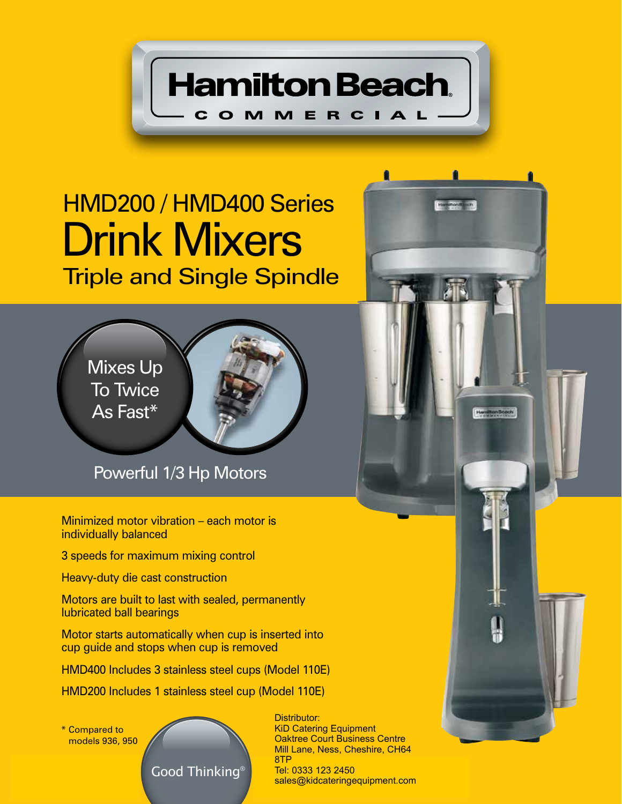**Hamilton Beach**.

COMMERCIAL

## Drink Mixers HMD200 / HMD400 Series Triple and Single Spindle



Powerful 1/3 Hp Motors

Minimized motor vibration – each motor is individually balanced

3 speeds for maximum mixing control

Heavy-duty die cast construction

Motors are built to last with sealed, permanently lubricated ball bearings

Motor starts automatically when cup is inserted into cup guide and stops when cup is removed

HMD400 Includes 3 stainless steel cups (Model 110E)

HMD200 Includes 1 stainless steel cup (Model 110E)

\* Compared to models 936, 950



Distributor: KiD Catering Equipment Oaktree Court Business Centre Mill Lane, Ness, Cheshire, CH64 8TP Tel: 0333 123 2450 sales@kidcateringequipment.com